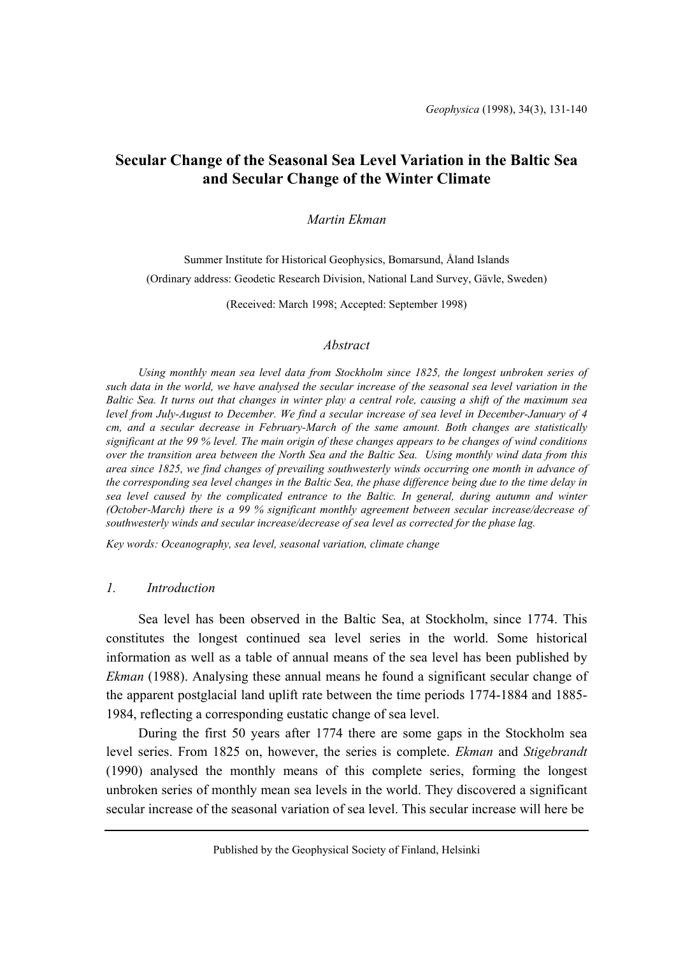# **Secular Change of the Seasonal Sea Level Variation in the Baltic Sea and Secular Change of the Winter Climate**

### *Martin Ekman*

Summer Institute for Historical Geophysics, Bomarsund, Åland Islands (Ordinary address: Geodetic Research Division, National Land Survey, Gävle, Sweden)

(Received: March 1998; Accepted: September 1998)

#### *Abstract*

*Using monthly mean sea level data from Stockholm since 1825, the longest unbroken series of such data in the world, we have analysed the secular increase of the seasonal sea level variation in the Baltic Sea. It turns out that changes in winter play a central role, causing a shift of the maximum sea level from July-August to December. We find a secular increase of sea level in December-January of 4 cm, and a secular decrease in February-March of the same amount. Both changes are statistically significant at the 99 % level. The main origin of these changes appears to be changes of wind conditions over the transition area between the North Sea and the Baltic Sea. Using monthly wind data from this area since 1825, we find changes of prevailing southwesterly winds occurring one month in advance of the corresponding sea level changes in the Baltic Sea, the phase difference being due to the time delay in sea level caused by the complicated entrance to the Baltic. In general, during autumn and winter (October-March) there is a 99 % significant monthly agreement between secular increase/decrease of southwesterly winds and secular increase/decrease of sea level as corrected for the phase lag.* 

*Key words: Oceanography, sea level, seasonal variation, climate change*

#### *1. Introduction*

Sea level has been observed in the Baltic Sea, at Stockholm, since 1774. This constitutes the longest continued sea level series in the world. Some historical information as well as a table of annual means of the sea level has been published by *Ekman* (1988). Analysing these annual means he found a significant secular change of the apparent postglacial land uplift rate between the time periods 1774-1884 and 1885- 1984, reflecting a corresponding eustatic change of sea level.

During the first 50 years after 1774 there are some gaps in the Stockholm sea level series. From 1825 on, however, the series is complete. *Ekman* and *Stigebrandt* (1990) analysed the monthly means of this complete series, forming the longest unbroken series of monthly mean sea levels in the world. They discovered a significant secular increase of the seasonal variation of sea level. This secular increase will here be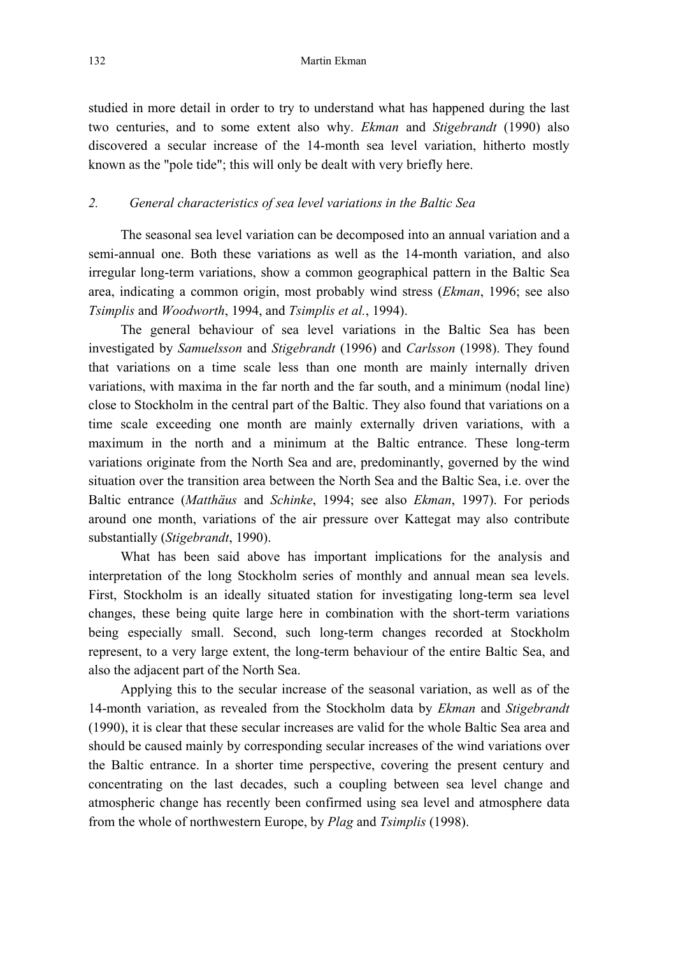studied in more detail in order to try to understand what has happened during the last two centuries, and to some extent also why. *Ekman* and *Stigebrandt* (1990) also discovered a secular increase of the 14-month sea level variation, hitherto mostly known as the "pole tide"; this will only be dealt with very briefly here.

#### *2. General characteristics of sea level variations in the Baltic Sea*

The seasonal sea level variation can be decomposed into an annual variation and a semi-annual one. Both these variations as well as the 14-month variation, and also irregular long-term variations, show a common geographical pattern in the Baltic Sea area, indicating a common origin, most probably wind stress (*Ekman*, 1996; see also *Tsimplis* and *Woodworth*, 1994, and *Tsimplis et al.*, 1994).

The general behaviour of sea level variations in the Baltic Sea has been investigated by *Samuelsson* and *Stigebrandt* (1996) and *Carlsson* (1998). They found that variations on a time scale less than one month are mainly internally driven variations, with maxima in the far north and the far south, and a minimum (nodal line) close to Stockholm in the central part of the Baltic. They also found that variations on a time scale exceeding one month are mainly externally driven variations, with a maximum in the north and a minimum at the Baltic entrance. These long-term variations originate from the North Sea and are, predominantly, governed by the wind situation over the transition area between the North Sea and the Baltic Sea, i.e. over the Baltic entrance (*Matthäus* and *Schinke*, 1994; see also *Ekman*, 1997). For periods around one month, variations of the air pressure over Kattegat may also contribute substantially (*Stigebrandt*, 1990).

What has been said above has important implications for the analysis and interpretation of the long Stockholm series of monthly and annual mean sea levels. First, Stockholm is an ideally situated station for investigating long-term sea level changes, these being quite large here in combination with the short-term variations being especially small. Second, such long-term changes recorded at Stockholm represent, to a very large extent, the long-term behaviour of the entire Baltic Sea, and also the adjacent part of the North Sea.

Applying this to the secular increase of the seasonal variation, as well as of the 14-month variation, as revealed from the Stockholm data by *Ekman* and *Stigebrandt* (1990), it is clear that these secular increases are valid for the whole Baltic Sea area and should be caused mainly by corresponding secular increases of the wind variations over the Baltic entrance. In a shorter time perspective, covering the present century and concentrating on the last decades, such a coupling between sea level change and atmospheric change has recently been confirmed using sea level and atmosphere data from the whole of northwestern Europe, by *Plag* and *Tsimplis* (1998).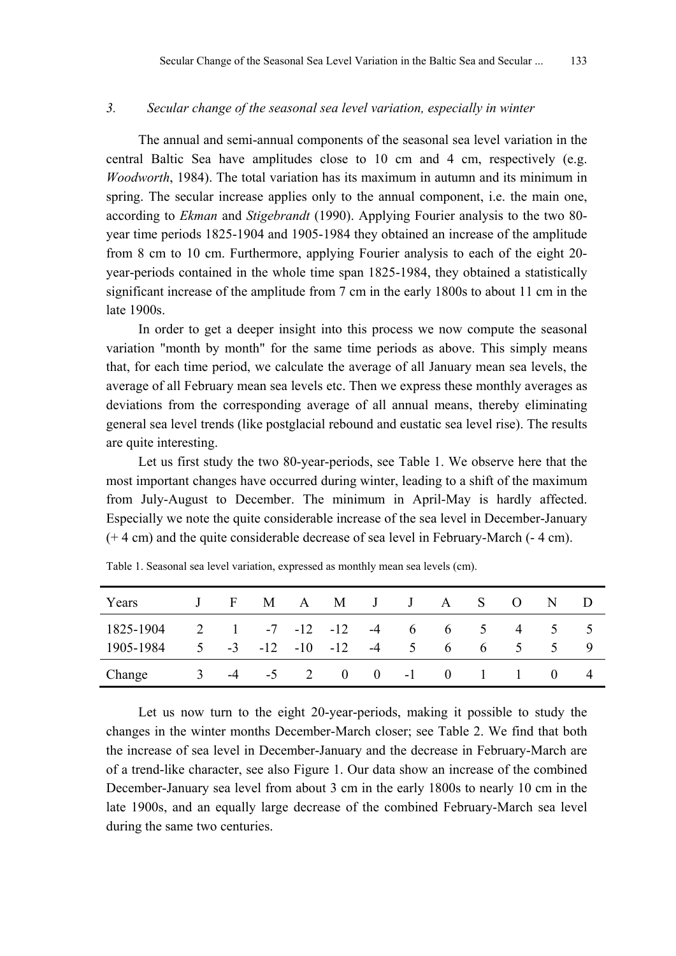## *3. Secular change of the seasonal sea level variation, especially in winter*

The annual and semi-annual components of the seasonal sea level variation in the central Baltic Sea have amplitudes close to 10 cm and 4 cm, respectively (e.g. *Woodworth*, 1984). The total variation has its maximum in autumn and its minimum in spring. The secular increase applies only to the annual component, i.e. the main one, according to *Ekman* and *Stigebrandt* (1990). Applying Fourier analysis to the two 80 year time periods 1825-1904 and 1905-1984 they obtained an increase of the amplitude from 8 cm to 10 cm. Furthermore, applying Fourier analysis to each of the eight 20 year-periods contained in the whole time span 1825-1984, they obtained a statistically significant increase of the amplitude from 7 cm in the early 1800s to about 11 cm in the late 1900s.

In order to get a deeper insight into this process we now compute the seasonal variation "month by month" for the same time periods as above. This simply means that, for each time period, we calculate the average of all January mean sea levels, the average of all February mean sea levels etc. Then we express these monthly averages as deviations from the corresponding average of all annual means, thereby eliminating general sea level trends (like postglacial rebound and eustatic sea level rise). The results are quite interesting.

Let us first study the two 80-year-periods, see Table 1. We observe here that the most important changes have occurred during winter, leading to a shift of the maximum from July-August to December. The minimum in April-May is hardly affected. Especially we note the quite considerable increase of the sea level in December-January (+ 4 cm) and the quite considerable decrease of sea level in February-March (- 4 cm).

| Years                                     |  |  |                                           |  | J F M A M J J A S O            |             | N D           |  |
|-------------------------------------------|--|--|-------------------------------------------|--|--------------------------------|-------------|---------------|--|
| $1825-1904$ 2 1 -7 -12 -12 -4 6 6 5 4 5 5 |  |  |                                           |  |                                |             |               |  |
| 1905-1984                                 |  |  | $5 \t -3 \t -12 \t -10 \t -12 \t -4 \t 5$ |  | $6\quad$                       | $6 \quad 5$ | $\mathcal{L}$ |  |
| Change                                    |  |  |                                           |  | $-4$ $-5$ 2 0 0 $-1$ 0 1 1 0 4 |             |               |  |

Table 1. Seasonal sea level variation, expressed as monthly mean sea levels (cm).

Let us now turn to the eight 20-year-periods, making it possible to study the changes in the winter months December-March closer; see Table 2. We find that both the increase of sea level in December-January and the decrease in February-March are of a trend-like character, see also Figure 1. Our data show an increase of the combined December-January sea level from about 3 cm in the early 1800s to nearly 10 cm in the late 1900s, and an equally large decrease of the combined February-March sea level during the same two centuries.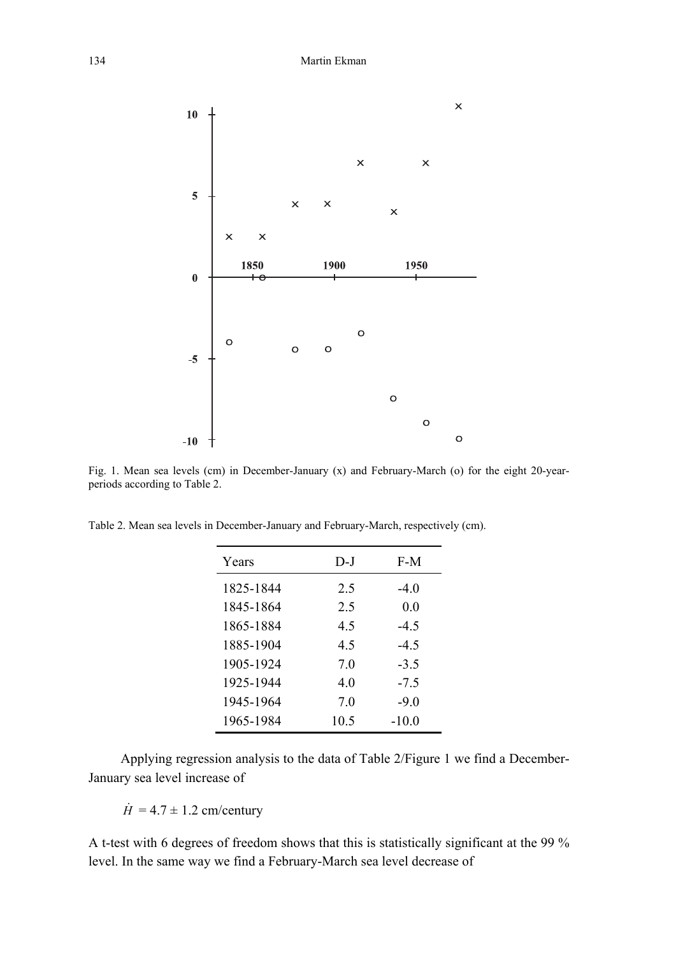

Fig. 1. Mean sea levels (cm) in December-January (x) and February-March (o) for the eight 20-yearperiods according to Table 2.

Table 2. Mean sea levels in December-January and February-March, respectively (cm).

| Years     | D-J  | F-M     |
|-----------|------|---------|
| 1825-1844 | 2.5  | $-4.0$  |
| 1845-1864 | 2.5  | 0.0     |
| 1865-1884 | 45   | $-4.5$  |
| 1885-1904 | 45   | $-4.5$  |
| 1905-1924 | 70   | $-3.5$  |
| 1925-1944 | 40   | $-7.5$  |
| 1945-1964 | 70   | $-9.0$  |
| 1965-1984 | 10.5 | $-10.0$ |

Applying regression analysis to the data of Table 2/Figure 1 we find a December-January sea level increase of

 $\dot{H}$  = 4.7  $\pm$  1.2 cm/century

A t-test with 6 degrees of freedom shows that this is statistically significant at the 99 % level. In the same way we find a February-March sea level decrease of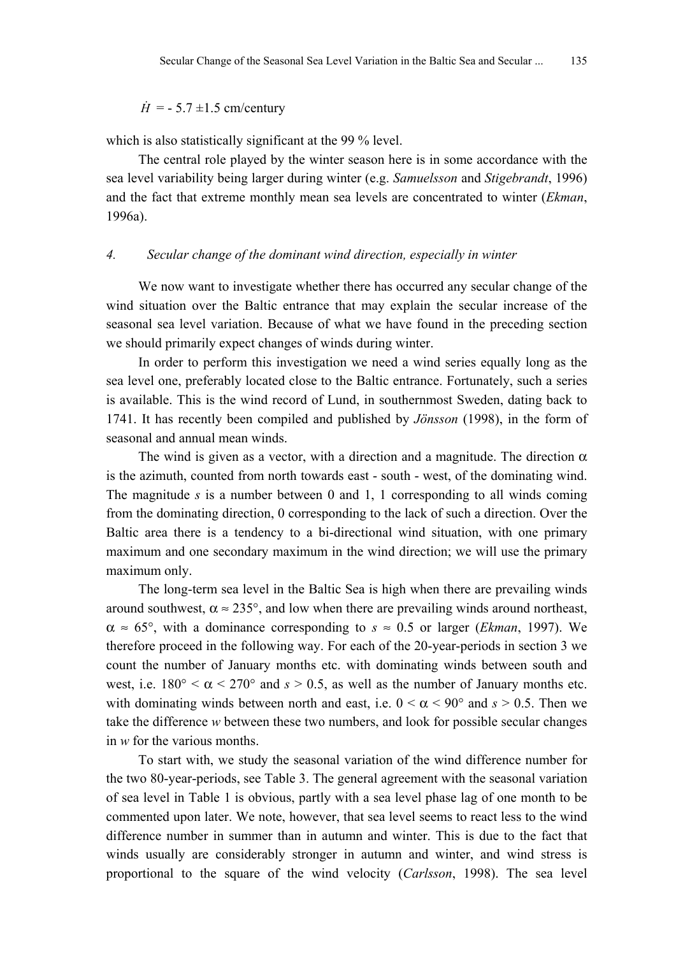$\dot{H}$  = - 5.7 ±1.5 cm/century

which is also statistically significant at the 99 % level.

The central role played by the winter season here is in some accordance with the sea level variability being larger during winter (e.g. *Samuelsson* and *Stigebrandt*, 1996) and the fact that extreme monthly mean sea levels are concentrated to winter (*Ekman*, 1996a).

#### *4. Secular change of the dominant wind direction, especially in winter*

We now want to investigate whether there has occurred any secular change of the wind situation over the Baltic entrance that may explain the secular increase of the seasonal sea level variation. Because of what we have found in the preceding section we should primarily expect changes of winds during winter.

In order to perform this investigation we need a wind series equally long as the sea level one, preferably located close to the Baltic entrance. Fortunately, such a series is available. This is the wind record of Lund, in southernmost Sweden, dating back to 1741. It has recently been compiled and published by *Jönsson* (1998), in the form of seasonal and annual mean winds.

The wind is given as a vector, with a direction and a magnitude. The direction  $\alpha$ is the azimuth, counted from north towards east - south - west, of the dominating wind. The magnitude *s* is a number between 0 and 1, 1 corresponding to all winds coming from the dominating direction, 0 corresponding to the lack of such a direction. Over the Baltic area there is a tendency to a bi-directional wind situation, with one primary maximum and one secondary maximum in the wind direction; we will use the primary maximum only.

The long-term sea level in the Baltic Sea is high when there are prevailing winds around southwest,  $\alpha \approx 235^{\circ}$ , and low when there are prevailing winds around northeast,  $\alpha \approx 65^{\circ}$ , with a dominance corresponding to  $s \approx 0.5$  or larger *(Ekman*, 1997). We therefore proceed in the following way. For each of the 20-year-periods in section 3 we count the number of January months etc. with dominating winds between south and west, i.e.  $180^{\circ} < \alpha < 270^{\circ}$  and  $s > 0.5$ , as well as the number of January months etc. with dominating winds between north and east, i.e.  $0 < \alpha < 90^{\circ}$  and  $s > 0.5$ . Then we take the difference *w* between these two numbers, and look for possible secular changes in *w* for the various months.

To start with, we study the seasonal variation of the wind difference number for the two 80-year-periods, see Table 3. The general agreement with the seasonal variation of sea level in Table 1 is obvious, partly with a sea level phase lag of one month to be commented upon later. We note, however, that sea level seems to react less to the wind difference number in summer than in autumn and winter. This is due to the fact that winds usually are considerably stronger in autumn and winter, and wind stress is proportional to the square of the wind velocity (*Carlsson*, 1998). The sea level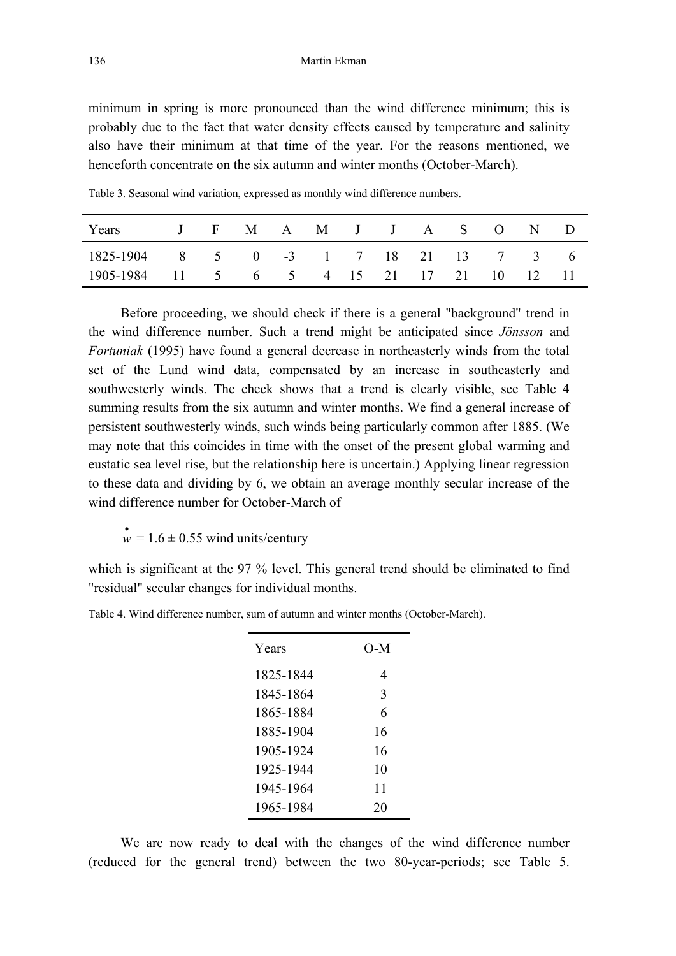minimum in spring is more pronounced than the wind difference minimum; this is probably due to the fact that water density effects caused by temperature and salinity also have their minimum at that time of the year. For the reasons mentioned, we henceforth concentrate on the six autumn and winter months (October-March).

| Years                                     |  | J F M A M J J A S O N D |  |  |  |  |  |
|-------------------------------------------|--|-------------------------|--|--|--|--|--|
| 1825-1904 8 5 0 -3 1 7 18 21 13 7 3 6     |  |                         |  |  |  |  |  |
| 1905-1984 11 5 6 5 4 15 21 17 21 10 12 11 |  |                         |  |  |  |  |  |

Table 3. Seasonal wind variation, expressed as monthly wind difference numbers.

Before proceeding, we should check if there is a general "background" trend in the wind difference number. Such a trend might be anticipated since *Jönsson* and *Fortuniak* (1995) have found a general decrease in northeasterly winds from the total set of the Lund wind data, compensated by an increase in southeasterly and southwesterly winds. The check shows that a trend is clearly visible, see Table 4 summing results from the six autumn and winter months. We find a general increase of persistent southwesterly winds, such winds being particularly common after 1885. (We may note that this coincides in time with the onset of the present global warming and eustatic sea level rise, but the relationship here is uncertain.) Applying linear regression to these data and dividing by 6, we obtain an average monthly secular increase of the wind difference number for October-March of

 $\mathbf{w} = 1.6 \pm 0.55$  wind units/century

which is significant at the 97 % level. This general trend should be eliminated to find "residual" secular changes for individual months.

Table 4. Wind difference number, sum of autumn and winter months (October-March).

| Years     | O-M |
|-----------|-----|
| 1825-1844 | 4   |
| 1845-1864 | 3   |
| 1865-1884 | 6   |
| 1885-1904 | 16  |
| 1905-1924 | 16  |
| 1925-1944 | 10  |
| 1945-1964 | 11  |
| 1965-1984 | 20  |

We are now ready to deal with the changes of the wind difference number (reduced for the general trend) between the two 80-year-periods; see Table 5.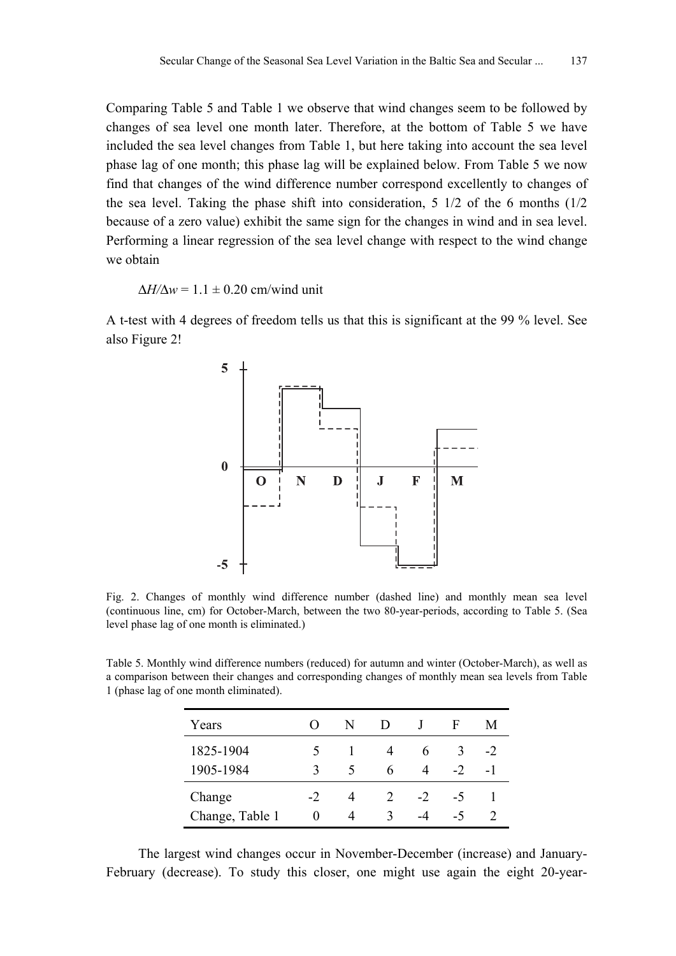Comparing Table 5 and Table 1 we observe that wind changes seem to be followed by changes of sea level one month later. Therefore, at the bottom of Table 5 we have included the sea level changes from Table 1, but here taking into account the sea level phase lag of one month; this phase lag will be explained below. From Table 5 we now find that changes of the wind difference number correspond excellently to changes of the sea level. Taking the phase shift into consideration,  $5 \frac{1}{2}$  of the 6 months ( $\frac{1}{2}$ ) because of a zero value) exhibit the same sign for the changes in wind and in sea level. Performing a linear regression of the sea level change with respect to the wind change we obtain

 $\Delta H/\Delta w = 1.1 \pm 0.20$  cm/wind unit

A t-test with 4 degrees of freedom tells us that this is significant at the 99 % level. See also Figure 2!



Fig. 2. Changes of monthly wind difference number (dashed line) and monthly mean sea level (continuous line, cm) for October-March, between the two 80-year-periods, according to Table 5. (Sea level phase lag of one month is eliminated.)

Table 5. Monthly wind difference numbers (reduced) for autumn and winter (October-March), as well as a comparison between their changes and corresponding changes of monthly mean sea levels from Table 1 (phase lag of one month eliminated).

| Years           |                   | N             | $\mathbf{D}$  |      | F    | M    |
|-----------------|-------------------|---------------|---------------|------|------|------|
| 1825-1904       |                   |               |               | h    | 3    | $-2$ |
| 1905-1984       | ζ                 | $\mathcal{L}$ | 6             | 4    | $-2$ | - 1  |
| Change          | $-2$              | 4             | $\mathcal{L}$ | $-2$ | -5   |      |
| Change, Table 1 | $\mathbf{\Omega}$ | 4             | ζ             | -4   | -5   |      |

The largest wind changes occur in November-December (increase) and January-February (decrease). To study this closer, one might use again the eight 20-year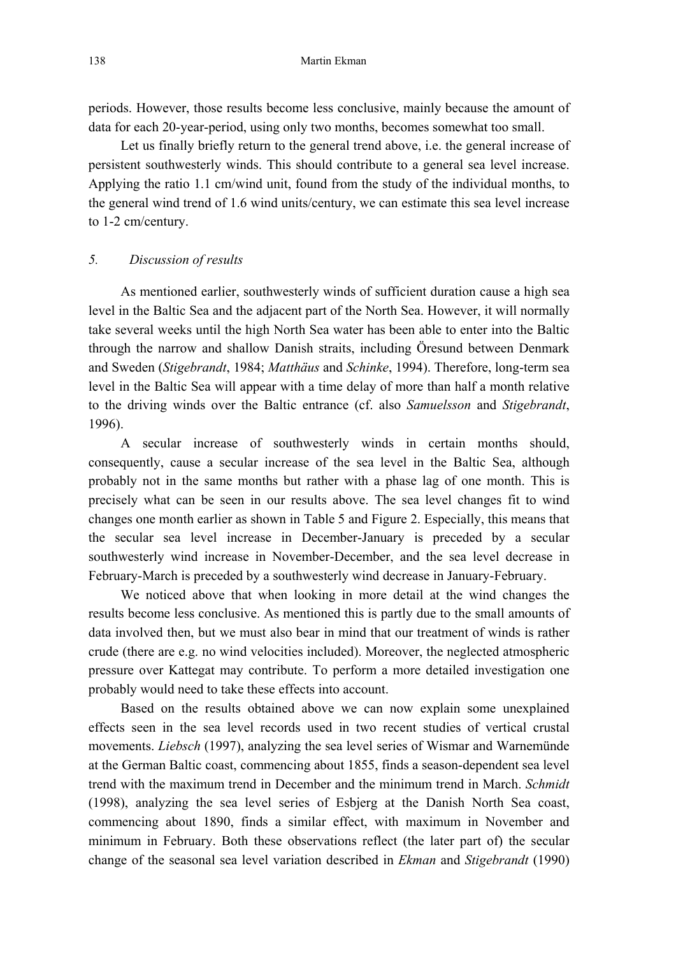periods. However, those results become less conclusive, mainly because the amount of data for each 20-year-period, using only two months, becomes somewhat too small.

Let us finally briefly return to the general trend above, i.e. the general increase of persistent southwesterly winds. This should contribute to a general sea level increase. Applying the ratio 1.1 cm/wind unit, found from the study of the individual months, to the general wind trend of 1.6 wind units/century, we can estimate this sea level increase to 1-2 cm/century.

## *5. Discussion of results*

As mentioned earlier, southwesterly winds of sufficient duration cause a high sea level in the Baltic Sea and the adjacent part of the North Sea. However, it will normally take several weeks until the high North Sea water has been able to enter into the Baltic through the narrow and shallow Danish straits, including Öresund between Denmark and Sweden (*Stigebrandt*, 1984; *Matthäus* and *Schinke*, 1994). Therefore, long-term sea level in the Baltic Sea will appear with a time delay of more than half a month relative to the driving winds over the Baltic entrance (cf. also *Samuelsson* and *Stigebrandt*, 1996).

A secular increase of southwesterly winds in certain months should, consequently, cause a secular increase of the sea level in the Baltic Sea, although probably not in the same months but rather with a phase lag of one month. This is precisely what can be seen in our results above. The sea level changes fit to wind changes one month earlier as shown in Table 5 and Figure 2. Especially, this means that the secular sea level increase in December-January is preceded by a secular southwesterly wind increase in November-December, and the sea level decrease in February-March is preceded by a southwesterly wind decrease in January-February.

We noticed above that when looking in more detail at the wind changes the results become less conclusive. As mentioned this is partly due to the small amounts of data involved then, but we must also bear in mind that our treatment of winds is rather crude (there are e.g. no wind velocities included). Moreover, the neglected atmospheric pressure over Kattegat may contribute. To perform a more detailed investigation one probably would need to take these effects into account.

Based on the results obtained above we can now explain some unexplained effects seen in the sea level records used in two recent studies of vertical crustal movements. *Liebsch* (1997), analyzing the sea level series of Wismar and Warnemünde at the German Baltic coast, commencing about 1855, finds a season-dependent sea level trend with the maximum trend in December and the minimum trend in March. *Schmidt* (1998), analyzing the sea level series of Esbjerg at the Danish North Sea coast, commencing about 1890, finds a similar effect, with maximum in November and minimum in February. Both these observations reflect (the later part of) the secular change of the seasonal sea level variation described in *Ekman* and *Stigebrandt* (1990)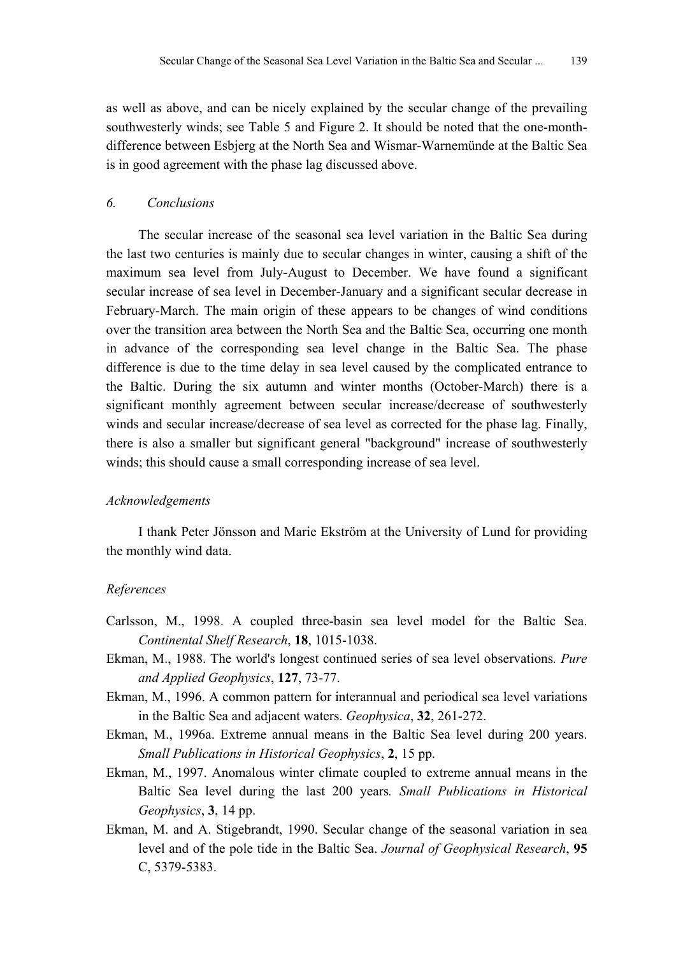as well as above, and can be nicely explained by the secular change of the prevailing southwesterly winds; see Table 5 and Figure 2. It should be noted that the one-monthdifference between Esbjerg at the North Sea and Wismar-Warnemünde at the Baltic Sea is in good agreement with the phase lag discussed above.

#### *6. Conclusions*

The secular increase of the seasonal sea level variation in the Baltic Sea during the last two centuries is mainly due to secular changes in winter, causing a shift of the maximum sea level from July-August to December. We have found a significant secular increase of sea level in December-January and a significant secular decrease in February-March. The main origin of these appears to be changes of wind conditions over the transition area between the North Sea and the Baltic Sea, occurring one month in advance of the corresponding sea level change in the Baltic Sea. The phase difference is due to the time delay in sea level caused by the complicated entrance to the Baltic. During the six autumn and winter months (October-March) there is a significant monthly agreement between secular increase/decrease of southwesterly winds and secular increase/decrease of sea level as corrected for the phase lag. Finally, there is also a smaller but significant general "background" increase of southwesterly winds; this should cause a small corresponding increase of sea level.

#### *Acknowledgements*

I thank Peter Jönsson and Marie Ekström at the University of Lund for providing the monthly wind data.

#### *References*

- Carlsson, M., 1998. A coupled three-basin sea level model for the Baltic Sea. *Continental Shelf Research*, **18**, 1015-1038.
- Ekman, M., 1988. The world's longest continued series of sea level observations*. Pure and Applied Geophysics*, **127**, 73-77.
- Ekman, M., 1996. A common pattern for interannual and periodical sea level variations in the Baltic Sea and adjacent waters. *Geophysica*, **32**, 261-272.
- Ekman, M., 1996a. Extreme annual means in the Baltic Sea level during 200 years. *Small Publications in Historical Geophysics*, **2**, 15 pp.
- Ekman, M., 1997. Anomalous winter climate coupled to extreme annual means in the Baltic Sea level during the last 200 years*. Small Publications in Historical Geophysics*, **3**, 14 pp.
- Ekman, M. and A. Stigebrandt, 1990. Secular change of the seasonal variation in sea level and of the pole tide in the Baltic Sea. *Journal of Geophysical Research*, **95** C, 5379-5383.